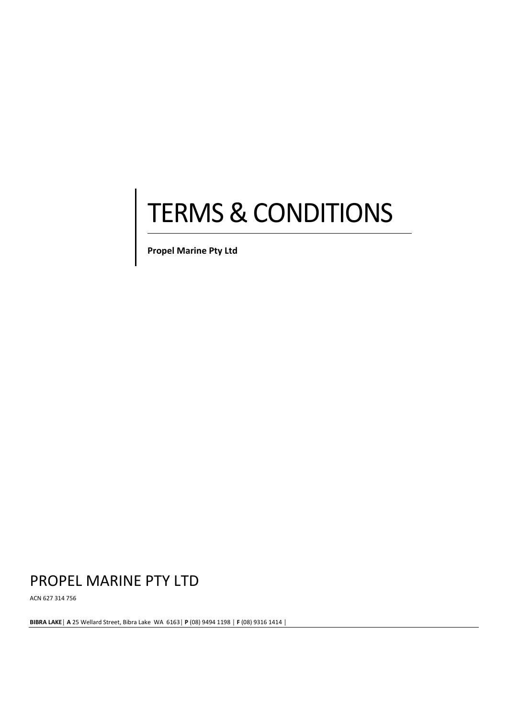# TERMS & CONDITIONS

the contract of the contract of the **Propel Marine Pty Ltd**

# PROPEL MARINE PTY LTD

**Contract Contract Contract Contract Contract Contract Contract Contract Contract Contract Contract Contract Contract Contract Contract Contract Contract Contract Contract Contract Contract Contract Contract Contract Contr** 

ACN 627 314 756

**BIBRA LAKE**│ **A** 25 Wellard Street, Bibra Lake WA 6163│ **P** (08) 9494 1198 │ **F** (08) 9316 1414 │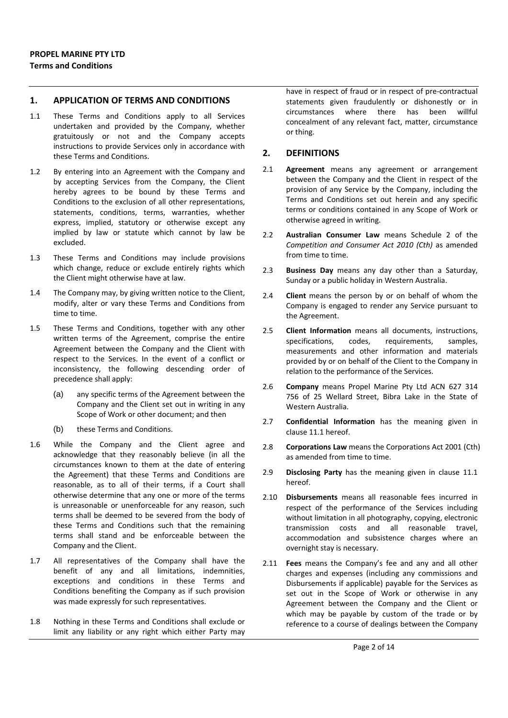#### **1. APPLICATION OF TERMS AND CONDITIONS**

- 1.1 These Terms and Conditions apply to all Services undertaken and provided by the Company, whether gratuitously or not and the Company accepts instructions to provide Services only in accordance with these Terms and Conditions.
- 1.2 By entering into an Agreement with the Company and by accepting Services from the Company, the Client hereby agrees to be bound by these Terms and Conditions to the exclusion of all other representations, statements, conditions, terms, warranties, whether express, implied, statutory or otherwise except any implied by law or statute which cannot by law be excluded.
- 1.3 These Terms and Conditions may include provisions which change, reduce or exclude entirely rights which the Client might otherwise have at law.
- 1.4 The Company may, by giving written notice to the Client, modify, alter or vary these Terms and Conditions from time to time.
- 1.5 These Terms and Conditions, together with any other written terms of the Agreement, comprise the entire Agreement between the Company and the Client with respect to the Services. In the event of a conflict or inconsistency, the following descending order of precedence shall apply:
	- (a) any specific terms of the Agreement between the Company and the Client set out in writing in any Scope of Work or other document; and then
	- (b) these Terms and Conditions.
- 1.6 While the Company and the Client agree and acknowledge that they reasonably believe (in all the circumstances known to them at the date of entering the Agreement) that these Terms and Conditions are reasonable, as to all of their terms, if a Court shall otherwise determine that any one or more of the terms is unreasonable or unenforceable for any reason, such terms shall be deemed to be severed from the body of these Terms and Conditions such that the remaining terms shall stand and be enforceable between the Company and the Client.
- 1.7 All representatives of the Company shall have the benefit of any and all limitations, indemnities, exceptions and conditions in these Terms and Conditions benefiting the Company as if such provision was made expressly for such representatives.
- 1.8 Nothing in these Terms and Conditions shall exclude or limit any liability or any right which either Party may

have in respect of fraud or in respect of pre-contractual statements given fraudulently or dishonestly or in circumstances where there has been willful concealment of any relevant fact, matter, circumstance or thing.

#### **2. DEFINITIONS**

- 2.1 **Agreement** means any agreement or arrangement between the Company and the Client in respect of the provision of any Service by the Company, including the Terms and Conditions set out herein and any specific terms or conditions contained in any Scope of Work or otherwise agreed in writing.
- 2.2 **Australian Consumer Law** means Schedule 2 of the *Competition and Consumer Act 2010 (Cth)* as amended from time to time.
- 2.3 **Business Day** means any day other than a Saturday, Sunday or a public holiday in Western Australia.
- 2.4 **Client** means the person by or on behalf of whom the Company is engaged to render any Service pursuant to the Agreement.
- 2.5 **Client Information** means all documents, instructions, specifications, codes, requirements, samples, measurements and other information and materials provided by or on behalf of the Client to the Company in relation to the performance of the Services.
- 2.6 **Company** means Propel Marine Pty Ltd ACN 627 314 756 of 25 Wellard Street, Bibra Lake in the State of Western Australia.
- 2.7 **Confidential Information** has the meaning given in clause 11.1 hereof.
- 2.8 **Corporations Law** means the Corporations Act 2001 (Cth) as amended from time to time.
- 2.9 **Disclosing Party** has the meaning given in clause 11.1 hereof.
- 2.10 **Disbursements** means all reasonable fees incurred in respect of the performance of the Services including without limitation in all photography, copying, electronic transmission costs and all reasonable travel, accommodation and subsistence charges where an overnight stay is necessary.
- 2.11 **Fees** means the Company's fee and any and all other charges and expenses (including any commissions and Disbursements if applicable) payable for the Services as set out in the Scope of Work or otherwise in any Agreement between the Company and the Client or which may be payable by custom of the trade or by reference to a course of dealings between the Company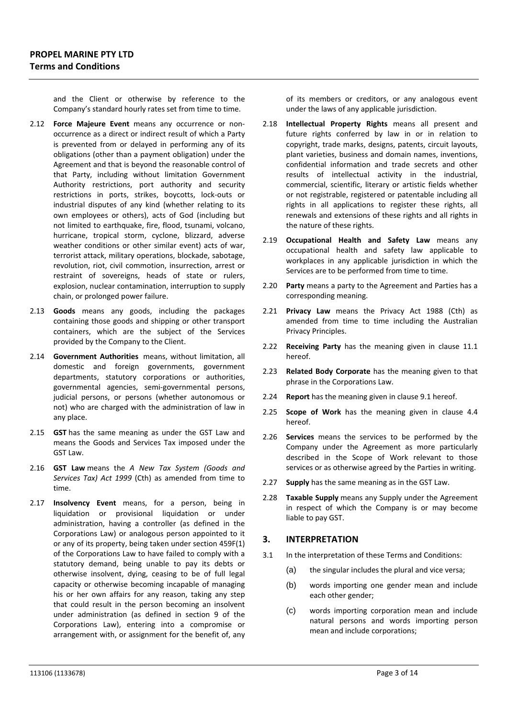and the Client or otherwise by reference to the Company's standard hourly rates set from time to time.

- 2.12 **Force Majeure Event** means any occurrence or non‐ occurrence as a direct or indirect result of which a Party is prevented from or delayed in performing any of its obligations (other than a payment obligation) under the Agreement and that is beyond the reasonable control of that Party, including without limitation Government Authority restrictions, port authority and security restrictions in ports, strikes, boycotts, lock‐outs or industrial disputes of any kind (whether relating to its own employees or others), acts of God (including but not limited to earthquake, fire, flood, tsunami, volcano, hurricane, tropical storm, cyclone, blizzard, adverse weather conditions or other similar event) acts of war, terrorist attack, military operations, blockade, sabotage, revolution, riot, civil commotion, insurrection, arrest or restraint of sovereigns, heads of state or rulers, explosion, nuclear contamination, interruption to supply chain, or prolonged power failure.
- 2.13 **Goods** means any goods, including the packages containing those goods and shipping or other transport containers, which are the subject of the Services provided by the Company to the Client.
- 2.14 **Government Authorities** means, without limitation, all domestic and foreign governments, government departments, statutory corporations or authorities, governmental agencies, semi‐governmental persons, judicial persons, or persons (whether autonomous or not) who are charged with the administration of law in any place.
- 2.15 **GST** has the same meaning as under the GST Law and means the Goods and Services Tax imposed under the GST Law.
- 2.16 **GST Law** means the *A New Tax System (Goods and Services Tax) Act 1999* (Cth) as amended from time to time.
- 2.17 **Insolvency Event** means, for a person, being in liquidation or provisional liquidation or under administration, having a controller (as defined in the Corporations Law) or analogous person appointed to it or any of its property, being taken under section 459F(1) of the Corporations Law to have failed to comply with a statutory demand, being unable to pay its debts or otherwise insolvent, dying, ceasing to be of full legal capacity or otherwise becoming incapable of managing his or her own affairs for any reason, taking any step that could result in the person becoming an insolvent under administration (as defined in section 9 of the Corporations Law), entering into a compromise or arrangement with, or assignment for the benefit of, any

of its members or creditors, or any analogous event under the laws of any applicable jurisdiction.

- 2.18 **Intellectual Property Rights** means all present and future rights conferred by law in or in relation to copyright, trade marks, designs, patents, circuit layouts, plant varieties, business and domain names, inventions, confidential information and trade secrets and other results of intellectual activity in the industrial, commercial, scientific, literary or artistic fields whether or not registrable, registered or patentable including all rights in all applications to register these rights, all renewals and extensions of these rights and all rights in the nature of these rights.
- 2.19 **Occupational Health and Safety Law** means any occupational health and safety law applicable to workplaces in any applicable jurisdiction in which the Services are to be performed from time to time.
- 2.20 **Party** means a party to the Agreement and Parties has a corresponding meaning.
- 2.21 **Privacy Law** means the Privacy Act 1988 (Cth) as amended from time to time including the Australian Privacy Principles.
- 2.22 **Receiving Party** has the meaning given in clause 11.1 hereof.
- 2.23 **Related Body Corporate** has the meaning given to that phrase in the Corporations Law.
- 2.24 **Report** has the meaning given in clause 9.1 hereof.
- 2.25 **Scope of Work** has the meaning given in clause 4.4 hereof.
- 2.26 **Services** means the services to be performed by the Company under the Agreement as more particularly described in the Scope of Work relevant to those services or as otherwise agreed by the Parties in writing.
- 2.27 **Supply** has the same meaning as in the GST Law.
- 2.28 **Taxable Supply** means any Supply under the Agreement in respect of which the Company is or may become liable to pay GST.

#### **3. INTERPRETATION**

- 3.1 In the interpretation of these Terms and Conditions:
	- (a) the singular includes the plural and vice versa;
	- (b) words importing one gender mean and include each other gender;
	- (c) words importing corporation mean and include natural persons and words importing person mean and include corporations;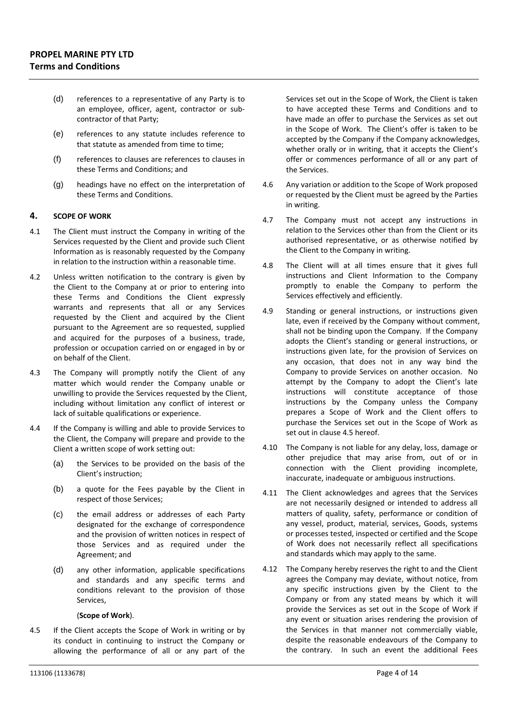- (d) references to a representative of any Party is to an employee, officer, agent, contractor or sub‐ contractor of that Party;
- (e) references to any statute includes reference to that statute as amended from time to time;
- (f) references to clauses are references to clauses in these Terms and Conditions; and
- (g) headings have no effect on the interpretation of these Terms and Conditions.

#### **4. SCOPE OF WORK**

- 4.1 The Client must instruct the Company in writing of the Services requested by the Client and provide such Client Information as is reasonably requested by the Company in relation to the instruction within a reasonable time.
- 4.2 Unless written notification to the contrary is given by the Client to the Company at or prior to entering into these Terms and Conditions the Client expressly warrants and represents that all or any Services requested by the Client and acquired by the Client pursuant to the Agreement are so requested, supplied and acquired for the purposes of a business, trade, profession or occupation carried on or engaged in by or on behalf of the Client.
- 4.3 The Company will promptly notify the Client of any matter which would render the Company unable or unwilling to provide the Services requested by the Client, including without limitation any conflict of interest or lack of suitable qualifications or experience.
- 4.4 If the Company is willing and able to provide Services to the Client, the Company will prepare and provide to the Client a written scope of work setting out:
	- (a) the Services to be provided on the basis of the Client's instruction;
	- (b) a quote for the Fees payable by the Client in respect of those Services;
	- (c) the email address or addresses of each Party designated for the exchange of correspondence and the provision of written notices in respect of those Services and as required under the Agreement; and
	- (d) any other information, applicable specifications and standards and any specific terms and conditions relevant to the provision of those Services,

#### (**Scope of Work**).

4.5 If the Client accepts the Scope of Work in writing or by its conduct in continuing to instruct the Company or allowing the performance of all or any part of the Services set out in the Scope of Work, the Client is taken to have accepted these Terms and Conditions and to have made an offer to purchase the Services as set out in the Scope of Work. The Client's offer is taken to be accepted by the Company if the Company acknowledges, whether orally or in writing, that it accepts the Client's offer or commences performance of all or any part of the Services.

- 4.6 Any variation or addition to the Scope of Work proposed or requested by the Client must be agreed by the Parties in writing.
- 4.7 The Company must not accept any instructions in relation to the Services other than from the Client or its authorised representative, or as otherwise notified by the Client to the Company in writing.
- 4.8 The Client will at all times ensure that it gives full instructions and Client Information to the Company promptly to enable the Company to perform the Services effectively and efficiently.
- 4.9 Standing or general instructions, or instructions given late, even if received by the Company without comment, shall not be binding upon the Company. If the Company adopts the Client's standing or general instructions, or instructions given late, for the provision of Services on any occasion, that does not in any way bind the Company to provide Services on another occasion. No attempt by the Company to adopt the Client's late instructions will constitute acceptance of those instructions by the Company unless the Company prepares a Scope of Work and the Client offers to purchase the Services set out in the Scope of Work as set out in clause 4.5 hereof.
- 4.10 The Company is not liable for any delay, loss, damage or other prejudice that may arise from, out of or in connection with the Client providing incomplete, inaccurate, inadequate or ambiguous instructions.
- 4.11 The Client acknowledges and agrees that the Services are not necessarily designed or intended to address all matters of quality, safety, performance or condition of any vessel, product, material, services, Goods, systems or processes tested, inspected or certified and the Scope of Work does not necessarily reflect all specifications and standards which may apply to the same.
- 4.12 The Company hereby reserves the right to and the Client agrees the Company may deviate, without notice, from any specific instructions given by the Client to the Company or from any stated means by which it will provide the Services as set out in the Scope of Work if any event or situation arises rendering the provision of the Services in that manner not commercially viable, despite the reasonable endeavours of the Company to the contrary. In such an event the additional Fees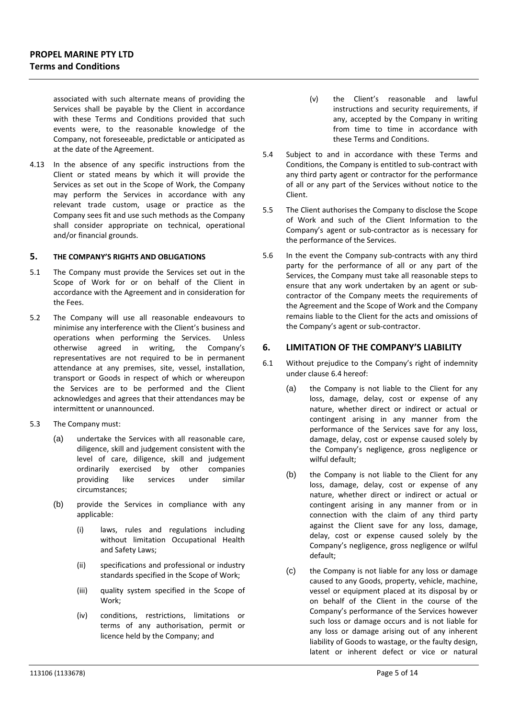associated with such alternate means of providing the Services shall be payable by the Client in accordance with these Terms and Conditions provided that such events were, to the reasonable knowledge of the Company, not foreseeable, predictable or anticipated as at the date of the Agreement.

4.13 In the absence of any specific instructions from the Client or stated means by which it will provide the Services as set out in the Scope of Work, the Company may perform the Services in accordance with any relevant trade custom, usage or practice as the Company sees fit and use such methods as the Company shall consider appropriate on technical, operational and/or financial grounds.

#### **5. THE COMPANY'S RIGHTS AND OBLIGATIONS**

- 5.1 The Company must provide the Services set out in the Scope of Work for or on behalf of the Client in accordance with the Agreement and in consideration for the Fees.
- 5.2 The Company will use all reasonable endeavours to minimise any interference with the Client's business and operations when performing the Services. Unless otherwise agreed in writing, the Company's representatives are not required to be in permanent attendance at any premises, site, vessel, installation, transport or Goods in respect of which or whereupon the Services are to be performed and the Client acknowledges and agrees that their attendances may be intermittent or unannounced.
- 5.3 The Company must:
	- (a) undertake the Services with all reasonable care, diligence, skill and judgement consistent with the level of care, diligence, skill and judgement ordinarily exercised by other companies providing like services under similar circumstances;
	- (b) provide the Services in compliance with any applicable:
		- (i) laws, rules and regulations including without limitation Occupational Health and Safety Laws;
		- (ii) specifications and professional or industry standards specified in the Scope of Work;
		- (iii) quality system specified in the Scope of Work;
		- (iv) conditions, restrictions, limitations or terms of any authorisation, permit or licence held by the Company; and
- (v) the Client's reasonable and lawful instructions and security requirements, if any, accepted by the Company in writing from time to time in accordance with these Terms and Conditions.
- 5.4 Subject to and in accordance with these Terms and Conditions, the Company is entitled to sub‐contract with any third party agent or contractor for the performance of all or any part of the Services without notice to the Client.
- 5.5 The Client authorises the Company to disclose the Scope of Work and such of the Client Information to the Company's agent or sub‐contractor as is necessary for the performance of the Services.
- 5.6 In the event the Company sub-contracts with any third party for the performance of all or any part of the Services, the Company must take all reasonable steps to ensure that any work undertaken by an agent or subcontractor of the Company meets the requirements of the Agreement and the Scope of Work and the Company remains liable to the Client for the acts and omissions of the Company's agent or sub‐contractor.

#### **6. LIMITATION OF THE COMPANY'S LIABILITY**

- 6.1 Without prejudice to the Company's right of indemnity under clause 6.4 hereof:
	- (a) the Company is not liable to the Client for any loss, damage, delay, cost or expense of any nature, whether direct or indirect or actual or contingent arising in any manner from the performance of the Services save for any loss, damage, delay, cost or expense caused solely by the Company's negligence, gross negligence or wilful default;
	- (b) the Company is not liable to the Client for any loss, damage, delay, cost or expense of any nature, whether direct or indirect or actual or contingent arising in any manner from or in connection with the claim of any third party against the Client save for any loss, damage, delay, cost or expense caused solely by the Company's negligence, gross negligence or wilful default;
	- (c) the Company is not liable for any loss or damage caused to any Goods, property, vehicle, machine, vessel or equipment placed at its disposal by or on behalf of the Client in the course of the Company's performance of the Services however such loss or damage occurs and is not liable for any loss or damage arising out of any inherent liability of Goods to wastage, or the faulty design, latent or inherent defect or vice or natural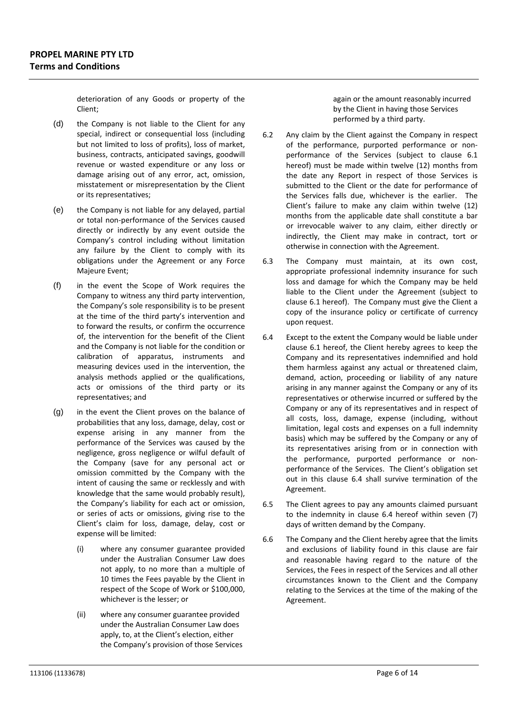deterioration of any Goods or property of the Client;

- (d) the Company is not liable to the Client for any special, indirect or consequential loss (including but not limited to loss of profits), loss of market, business, contracts, anticipated savings, goodwill revenue or wasted expenditure or any loss or damage arising out of any error, act, omission, misstatement or misrepresentation by the Client or its representatives;
- (e) the Company is not liable for any delayed, partial or total non‐performance of the Services caused directly or indirectly by any event outside the Company's control including without limitation any failure by the Client to comply with its obligations under the Agreement or any Force Majeure Event;
- (f) in the event the Scope of Work requires the Company to witness any third party intervention, the Company's sole responsibility is to be present at the time of the third party's intervention and to forward the results, or confirm the occurrence of, the intervention for the benefit of the Client and the Company is not liable for the condition or calibration of apparatus, instruments and measuring devices used in the intervention, the analysis methods applied or the qualifications, acts or omissions of the third party or its representatives; and
- (g) in the event the Client proves on the balance of probabilities that any loss, damage, delay, cost or expense arising in any manner from the performance of the Services was caused by the negligence, gross negligence or wilful default of the Company (save for any personal act or omission committed by the Company with the intent of causing the same or recklessly and with knowledge that the same would probably result), the Company's liability for each act or omission, or series of acts or omissions, giving rise to the Client's claim for loss, damage, delay, cost or expense will be limited:
	- (i) where any consumer guarantee provided under the Australian Consumer Law does not apply, to no more than a multiple of 10 times the Fees payable by the Client in respect of the Scope of Work or \$100,000, whichever is the lesser; or
	- (ii) where any consumer guarantee provided under the Australian Consumer Law does apply, to, at the Client's election, either the Company's provision of those Services

again or the amount reasonably incurred by the Client in having those Services performed by a third party.

- 6.2 Any claim by the Client against the Company in respect of the performance, purported performance or non‐ performance of the Services (subject to clause 6.1 hereof) must be made within twelve (12) months from the date any Report in respect of those Services is submitted to the Client or the date for performance of the Services falls due, whichever is the earlier. The Client's failure to make any claim within twelve (12) months from the applicable date shall constitute a bar or irrevocable waiver to any claim, either directly or indirectly, the Client may make in contract, tort or otherwise in connection with the Agreement.
- 6.3 The Company must maintain, at its own cost, appropriate professional indemnity insurance for such loss and damage for which the Company may be held liable to the Client under the Agreement (subject to clause 6.1 hereof). The Company must give the Client a copy of the insurance policy or certificate of currency upon request.
- 6.4 Except to the extent the Company would be liable under clause 6.1 hereof, the Client hereby agrees to keep the Company and its representatives indemnified and hold them harmless against any actual or threatened claim, demand, action, proceeding or liability of any nature arising in any manner against the Company or any of its representatives or otherwise incurred or suffered by the Company or any of its representatives and in respect of all costs, loss, damage, expense (including, without limitation, legal costs and expenses on a full indemnity basis) which may be suffered by the Company or any of its representatives arising from or in connection with the performance, purported performance or non‐ performance of the Services. The Client's obligation set out in this clause 6.4 shall survive termination of the Agreement.
- 6.5 The Client agrees to pay any amounts claimed pursuant to the indemnity in clause 6.4 hereof within seven (7) days of written demand by the Company.
- 6.6 The Company and the Client hereby agree that the limits and exclusions of liability found in this clause are fair and reasonable having regard to the nature of the Services, the Fees in respect of the Services and all other circumstances known to the Client and the Company relating to the Services at the time of the making of the Agreement.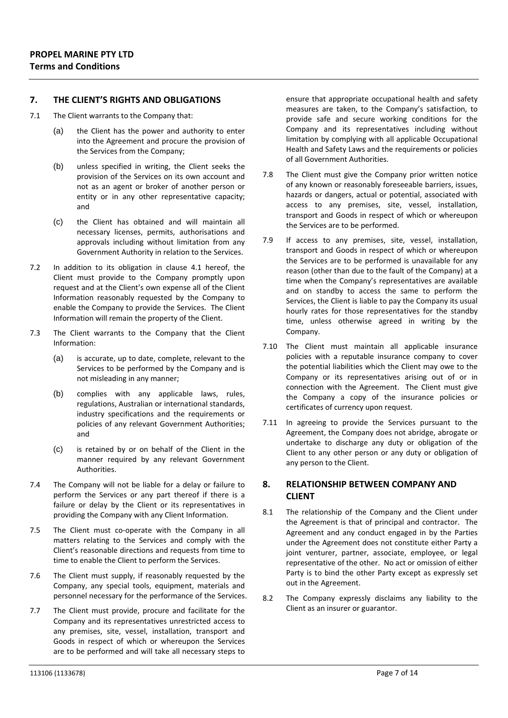# **7. THE CLIENT'S RIGHTS AND OBLIGATIONS**

- 7.1 The Client warrants to the Company that:
	- (a) the Client has the power and authority to enter into the Agreement and procure the provision of the Services from the Company;
	- (b) unless specified in writing, the Client seeks the provision of the Services on its own account and not as an agent or broker of another person or entity or in any other representative capacity; and
	- (c) the Client has obtained and will maintain all necessary licenses, permits, authorisations and approvals including without limitation from any Government Authority in relation to the Services.
- 7.2 In addition to its obligation in clause 4.1 hereof, the Client must provide to the Company promptly upon request and at the Client's own expense all of the Client Information reasonably requested by the Company to enable the Company to provide the Services. The Client Information will remain the property of the Client.
- 7.3 The Client warrants to the Company that the Client Information:
	- (a) is accurate, up to date, complete, relevant to the Services to be performed by the Company and is not misleading in any manner;
	- (b) complies with any applicable laws, rules, regulations, Australian or international standards, industry specifications and the requirements or policies of any relevant Government Authorities; and
	- (c) is retained by or on behalf of the Client in the manner required by any relevant Government Authorities.
- 7.4 The Company will not be liable for a delay or failure to perform the Services or any part thereof if there is a failure or delay by the Client or its representatives in providing the Company with any Client Information.
- 7.5 The Client must co-operate with the Company in all matters relating to the Services and comply with the Client's reasonable directions and requests from time to time to enable the Client to perform the Services.
- 7.6 The Client must supply, if reasonably requested by the Company, any special tools, equipment, materials and personnel necessary for the performance of the Services.
- 7.7 The Client must provide, procure and facilitate for the Company and its representatives unrestricted access to any premises, site, vessel, installation, transport and Goods in respect of which or whereupon the Services are to be performed and will take all necessary steps to

ensure that appropriate occupational health and safety measures are taken, to the Company's satisfaction, to provide safe and secure working conditions for the Company and its representatives including without limitation by complying with all applicable Occupational Health and Safety Laws and the requirements or policies of all Government Authorities.

- 7.8 The Client must give the Company prior written notice of any known or reasonably foreseeable barriers, issues, hazards or dangers, actual or potential, associated with access to any premises, site, vessel, installation, transport and Goods in respect of which or whereupon the Services are to be performed.
- 7.9 If access to any premises, site, vessel, installation, transport and Goods in respect of which or whereupon the Services are to be performed is unavailable for any reason (other than due to the fault of the Company) at a time when the Company's representatives are available and on standby to access the same to perform the Services, the Client is liable to pay the Company its usual hourly rates for those representatives for the standby time, unless otherwise agreed in writing by the Company.
- 7.10 The Client must maintain all applicable insurance policies with a reputable insurance company to cover the potential liabilities which the Client may owe to the Company or its representatives arising out of or in connection with the Agreement. The Client must give the Company a copy of the insurance policies or certificates of currency upon request.
- 7.11 In agreeing to provide the Services pursuant to the Agreement, the Company does not abridge, abrogate or undertake to discharge any duty or obligation of the Client to any other person or any duty or obligation of any person to the Client.

# **8. RELATIONSHIP BETWEEN COMPANY AND CLIENT**

- 8.1 The relationship of the Company and the Client under the Agreement is that of principal and contractor. The Agreement and any conduct engaged in by the Parties under the Agreement does not constitute either Party a joint venturer, partner, associate, employee, or legal representative of the other. No act or omission of either Party is to bind the other Party except as expressly set out in the Agreement.
- 8.2 The Company expressly disclaims any liability to the Client as an insurer or guarantor.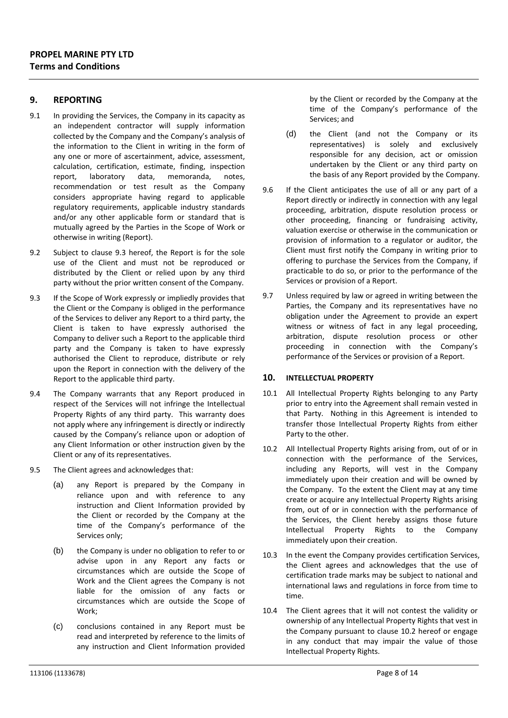#### **9. REPORTING**

- 9.1 In providing the Services, the Company in its capacity as an independent contractor will supply information collected by the Company and the Company's analysis of the information to the Client in writing in the form of any one or more of ascertainment, advice, assessment, calculation, certification, estimate, finding, inspection report, laboratory data, memoranda, notes, recommendation or test result as the Company considers appropriate having regard to applicable regulatory requirements, applicable industry standards and/or any other applicable form or standard that is mutually agreed by the Parties in the Scope of Work or otherwise in writing (Report).
- 9.2 Subject to clause 9.3 hereof, the Report is for the sole use of the Client and must not be reproduced or distributed by the Client or relied upon by any third party without the prior written consent of the Company.
- 9.3 If the Scope of Work expressly or impliedly provides that the Client or the Company is obliged in the performance of the Services to deliver any Report to a third party, the Client is taken to have expressly authorised the Company to deliver such a Report to the applicable third party and the Company is taken to have expressly authorised the Client to reproduce, distribute or rely upon the Report in connection with the delivery of the Report to the applicable third party.
- 9.4 The Company warrants that any Report produced in respect of the Services will not infringe the Intellectual Property Rights of any third party. This warranty does not apply where any infringement is directly or indirectly caused by the Company's reliance upon or adoption of any Client Information or other instruction given by the Client or any of its representatives.
- 9.5 The Client agrees and acknowledges that:
	- (a) any Report is prepared by the Company in reliance upon and with reference to any instruction and Client Information provided by the Client or recorded by the Company at the time of the Company's performance of the Services only;
	- (b) the Company is under no obligation to refer to or advise upon in any Report any facts or circumstances which are outside the Scope of Work and the Client agrees the Company is not liable for the omission of any facts or circumstances which are outside the Scope of Work;
	- (c) conclusions contained in any Report must be read and interpreted by reference to the limits of any instruction and Client Information provided

by the Client or recorded by the Company at the time of the Company's performance of the Services; and

- (d) the Client (and not the Company or its representatives) is solely and exclusively responsible for any decision, act or omission undertaken by the Client or any third party on the basis of any Report provided by the Company.
- 9.6 If the Client anticipates the use of all or any part of a Report directly or indirectly in connection with any legal proceeding, arbitration, dispute resolution process or other proceeding, financing or fundraising activity, valuation exercise or otherwise in the communication or provision of information to a regulator or auditor, the Client must first notify the Company in writing prior to offering to purchase the Services from the Company, if practicable to do so, or prior to the performance of the Services or provision of a Report.
- 9.7 Unless required by law or agreed in writing between the Parties, the Company and its representatives have no obligation under the Agreement to provide an expert witness or witness of fact in any legal proceeding, arbitration, dispute resolution process or other proceeding in connection with the Company's performance of the Services or provision of a Report.

#### **10. INTELLECTUAL PROPERTY**

- 10.1 All Intellectual Property Rights belonging to any Party prior to entry into the Agreement shall remain vested in that Party. Nothing in this Agreement is intended to transfer those Intellectual Property Rights from either Party to the other.
- 10.2 All Intellectual Property Rights arising from, out of or in connection with the performance of the Services, including any Reports, will vest in the Company immediately upon their creation and will be owned by the Company. To the extent the Client may at any time create or acquire any Intellectual Property Rights arising from, out of or in connection with the performance of the Services, the Client hereby assigns those future Intellectual Property Rights to the Company immediately upon their creation.
- 10.3 In the event the Company provides certification Services, the Client agrees and acknowledges that the use of certification trade marks may be subject to national and international laws and regulations in force from time to time.
- 10.4 The Client agrees that it will not contest the validity or ownership of any Intellectual Property Rights that vest in the Company pursuant to clause 10.2 hereof or engage in any conduct that may impair the value of those Intellectual Property Rights.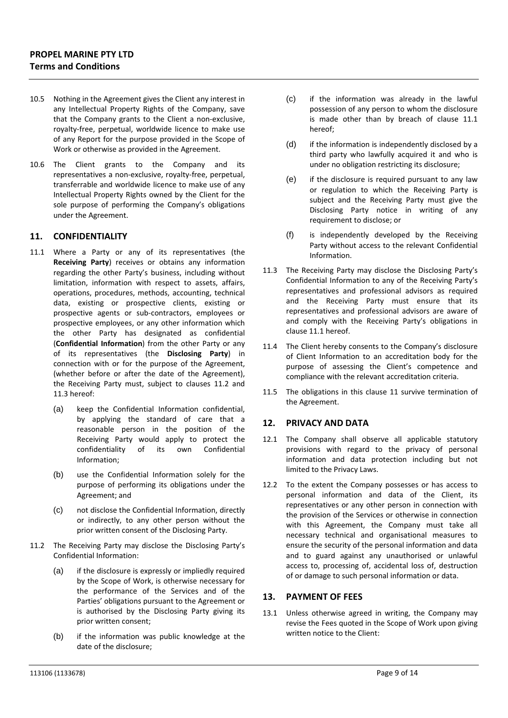- 10.5 Nothing in the Agreement gives the Client any interest in any Intellectual Property Rights of the Company, save that the Company grants to the Client a non‐exclusive, royalty‐free, perpetual, worldwide licence to make use of any Report for the purpose provided in the Scope of Work or otherwise as provided in the Agreement.
- 10.6 The Client grants to the Company and its representatives a non‐exclusive, royalty‐free, perpetual, transferrable and worldwide licence to make use of any Intellectual Property Rights owned by the Client for the sole purpose of performing the Company's obligations under the Agreement.

# **11. CONFIDENTIALITY**

- 11.1 Where a Party or any of its representatives (the **Receiving Party**) receives or obtains any information regarding the other Party's business, including without limitation, information with respect to assets, affairs, operations, procedures, methods, accounting, technical data, existing or prospective clients, existing or prospective agents or sub‐contractors, employees or prospective employees, or any other information which the other Party has designated as confidential (**Confidential Information**) from the other Party or any of its representatives (the **Disclosing Party**) in connection with or for the purpose of the Agreement, (whether before or after the date of the Agreement), the Receiving Party must, subject to clauses 11.2 and 11.3 hereof:
	- (a) keep the Confidential Information confidential, by applying the standard of care that a reasonable person in the position of the Receiving Party would apply to protect the confidentiality of its own Confidential Information;
	- (b) use the Confidential Information solely for the purpose of performing its obligations under the Agreement; and
	- (c) not disclose the Confidential Information, directly or indirectly, to any other person without the prior written consent of the Disclosing Party.
- 11.2 The Receiving Party may disclose the Disclosing Party's Confidential Information:
	- (a) if the disclosure is expressly or impliedly required by the Scope of Work, is otherwise necessary for the performance of the Services and of the Parties' obligations pursuant to the Agreement or is authorised by the Disclosing Party giving its prior written consent;
	- (b) if the information was public knowledge at the date of the disclosure;
- (c) if the information was already in the lawful possession of any person to whom the disclosure is made other than by breach of clause 11.1 hereof;
- (d) if the information is independently disclosed by a third party who lawfully acquired it and who is under no obligation restricting its disclosure;
- (e) if the disclosure is required pursuant to any law or regulation to which the Receiving Party is subject and the Receiving Party must give the Disclosing Party notice in writing of any requirement to disclose; or
- (f) is independently developed by the Receiving Party without access to the relevant Confidential Information.
- 11.3 The Receiving Party may disclose the Disclosing Party's Confidential Information to any of the Receiving Party's representatives and professional advisors as required and the Receiving Party must ensure that its representatives and professional advisors are aware of and comply with the Receiving Party's obligations in clause 11.1 hereof.
- 11.4 The Client hereby consents to the Company's disclosure of Client Information to an accreditation body for the purpose of assessing the Client's competence and compliance with the relevant accreditation criteria.
- 11.5 The obligations in this clause 11 survive termination of the Agreement.

#### **12. PRIVACY AND DATA**

- 12.1 The Company shall observe all applicable statutory provisions with regard to the privacy of personal information and data protection including but not limited to the Privacy Laws.
- 12.2 To the extent the Company possesses or has access to personal information and data of the Client, its representatives or any other person in connection with the provision of the Services or otherwise in connection with this Agreement, the Company must take all necessary technical and organisational measures to ensure the security of the personal information and data and to guard against any unauthorised or unlawful access to, processing of, accidental loss of, destruction of or damage to such personal information or data.

#### **13. PAYMENT OF FEES**

13.1 Unless otherwise agreed in writing, the Company may revise the Fees quoted in the Scope of Work upon giving written notice to the Client: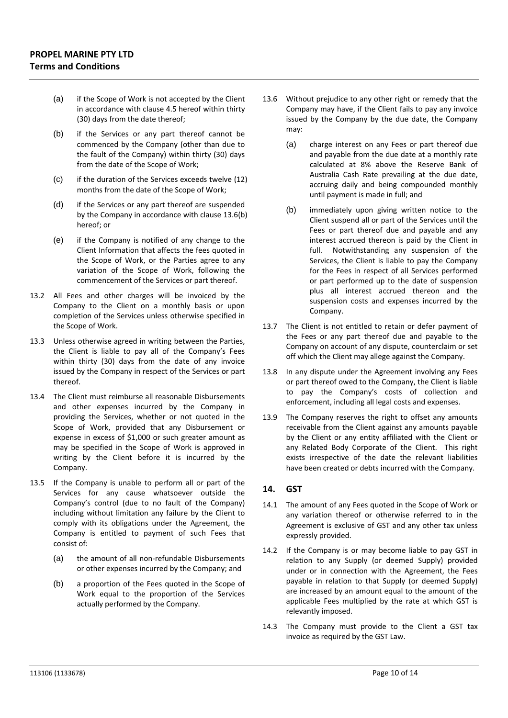- (a) if the Scope of Work is not accepted by the Client in accordance with clause 4.5 hereof within thirty (30) days from the date thereof;
- (b) if the Services or any part thereof cannot be commenced by the Company (other than due to the fault of the Company) within thirty (30) days from the date of the Scope of Work;
- (c) if the duration of the Services exceeds twelve (12) months from the date of the Scope of Work;
- (d) if the Services or any part thereof are suspended by the Company in accordance with clause 13.6(b) hereof; or
- (e) if the Company is notified of any change to the Client Information that affects the fees quoted in the Scope of Work, or the Parties agree to any variation of the Scope of Work, following the commencement of the Services or part thereof.
- 13.2 All Fees and other charges will be invoiced by the Company to the Client on a monthly basis or upon completion of the Services unless otherwise specified in the Scope of Work.
- 13.3 Unless otherwise agreed in writing between the Parties, the Client is liable to pay all of the Company's Fees within thirty (30) days from the date of any invoice issued by the Company in respect of the Services or part thereof.
- 13.4 The Client must reimburse all reasonable Disbursements and other expenses incurred by the Company in providing the Services, whether or not quoted in the Scope of Work, provided that any Disbursement or expense in excess of \$1,000 or such greater amount as may be specified in the Scope of Work is approved in writing by the Client before it is incurred by the Company.
- 13.5 If the Company is unable to perform all or part of the Services for any cause whatsoever outside the Company's control (due to no fault of the Company) including without limitation any failure by the Client to comply with its obligations under the Agreement, the Company is entitled to payment of such Fees that consist of:
	- (a) the amount of all non-refundable Disbursements or other expenses incurred by the Company; and
	- (b) a proportion of the Fees quoted in the Scope of Work equal to the proportion of the Services actually performed by the Company.
- 13.6 Without prejudice to any other right or remedy that the Company may have, if the Client fails to pay any invoice issued by the Company by the due date, the Company may:
	- (a) charge interest on any Fees or part thereof due and payable from the due date at a monthly rate calculated at 8% above the Reserve Bank of Australia Cash Rate prevailing at the due date, accruing daily and being compounded monthly until payment is made in full; and
	- (b) immediately upon giving written notice to the Client suspend all or part of the Services until the Fees or part thereof due and payable and any interest accrued thereon is paid by the Client in full. Notwithstanding any suspension of the Services, the Client is liable to pay the Company for the Fees in respect of all Services performed or part performed up to the date of suspension plus all interest accrued thereon and the suspension costs and expenses incurred by the Company.
- 13.7 The Client is not entitled to retain or defer payment of the Fees or any part thereof due and payable to the Company on account of any dispute, counterclaim or set off which the Client may allege against the Company.
- 13.8 In any dispute under the Agreement involving any Fees or part thereof owed to the Company, the Client is liable to pay the Company's costs of collection and enforcement, including all legal costs and expenses.
- 13.9 The Company reserves the right to offset any amounts receivable from the Client against any amounts payable by the Client or any entity affiliated with the Client or any Related Body Corporate of the Client. This right exists irrespective of the date the relevant liabilities have been created or debts incurred with the Company.

# **14. GST**

- 14.1 The amount of any Fees quoted in the Scope of Work or any variation thereof or otherwise referred to in the Agreement is exclusive of GST and any other tax unless expressly provided.
- 14.2 If the Company is or may become liable to pay GST in relation to any Supply (or deemed Supply) provided under or in connection with the Agreement, the Fees payable in relation to that Supply (or deemed Supply) are increased by an amount equal to the amount of the applicable Fees multiplied by the rate at which GST is relevantly imposed.
- 14.3 The Company must provide to the Client a GST tax invoice as required by the GST Law.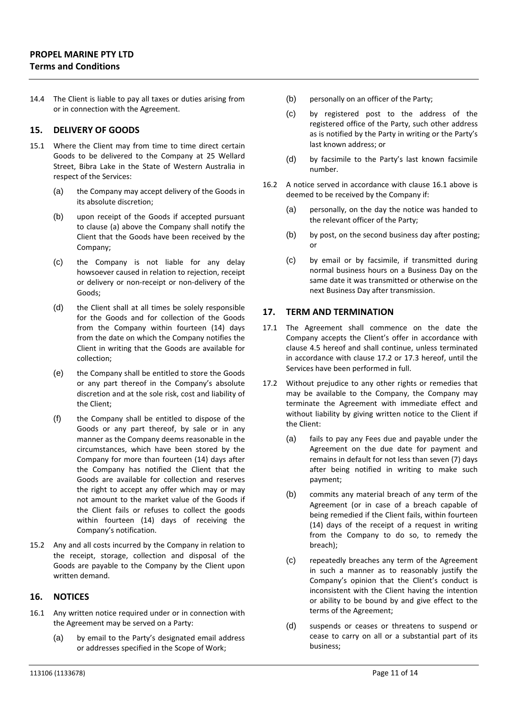14.4 The Client is liable to pay all taxes or duties arising from or in connection with the Agreement.

#### **15. DELIVERY OF GOODS**

- 15.1 Where the Client may from time to time direct certain Goods to be delivered to the Company at 25 Wellard Street, Bibra Lake in the State of Western Australia in respect of the Services:
	- (a) the Company may accept delivery of the Goods in its absolute discretion;
	- (b) upon receipt of the Goods if accepted pursuant to clause (a) above the Company shall notify the Client that the Goods have been received by the Company;
	- (c) the Company is not liable for any delay howsoever caused in relation to rejection, receipt or delivery or non‐receipt or non‐delivery of the Goods;
	- (d) the Client shall at all times be solely responsible for the Goods and for collection of the Goods from the Company within fourteen (14) days from the date on which the Company notifies the Client in writing that the Goods are available for collection;
	- (e) the Company shall be entitled to store the Goods or any part thereof in the Company's absolute discretion and at the sole risk, cost and liability of the Client;
	- (f) the Company shall be entitled to dispose of the Goods or any part thereof, by sale or in any manner as the Company deems reasonable in the circumstances, which have been stored by the Company for more than fourteen (14) days after the Company has notified the Client that the Goods are available for collection and reserves the right to accept any offer which may or may not amount to the market value of the Goods if the Client fails or refuses to collect the goods within fourteen (14) days of receiving the Company's notification.
- 15.2 Any and all costs incurred by the Company in relation to the receipt, storage, collection and disposal of the Goods are payable to the Company by the Client upon written demand.

#### **16. NOTICES**

- 16.1 Any written notice required under or in connection with the Agreement may be served on a Party:
	- (a) by email to the Party's designated email address or addresses specified in the Scope of Work;
- (b) personally on an officer of the Party;
- (c) by registered post to the address of the registered office of the Party, such other address as is notified by the Party in writing or the Party's last known address; or
- (d) by facsimile to the Party's last known facsimile number.
- 16.2 A notice served in accordance with clause 16.1 above is deemed to be received by the Company if:
	- (a) personally, on the day the notice was handed to the relevant officer of the Party;
	- (b) by post, on the second business day after posting; or
	- (c) by email or by facsimile, if transmitted during normal business hours on a Business Day on the same date it was transmitted or otherwise on the next Business Day after transmission.

# **17. TERM AND TERMINATION**

- 17.1 The Agreement shall commence on the date the Company accepts the Client's offer in accordance with clause 4.5 hereof and shall continue, unless terminated in accordance with clause 17.2 or 17.3 hereof, until the Services have been performed in full.
- 17.2 Without prejudice to any other rights or remedies that may be available to the Company, the Company may terminate the Agreement with immediate effect and without liability by giving written notice to the Client if the Client:
	- (a) fails to pay any Fees due and payable under the Agreement on the due date for payment and remains in default for not less than seven (7) days after being notified in writing to make such payment;
	- (b) commits any material breach of any term of the Agreement (or in case of a breach capable of being remedied if the Client fails, within fourteen (14) days of the receipt of a request in writing from the Company to do so, to remedy the breach);
	- (c) repeatedly breaches any term of the Agreement in such a manner as to reasonably justify the Company's opinion that the Client's conduct is inconsistent with the Client having the intention or ability to be bound by and give effect to the terms of the Agreement;
	- (d) suspends or ceases or threatens to suspend or cease to carry on all or a substantial part of its business;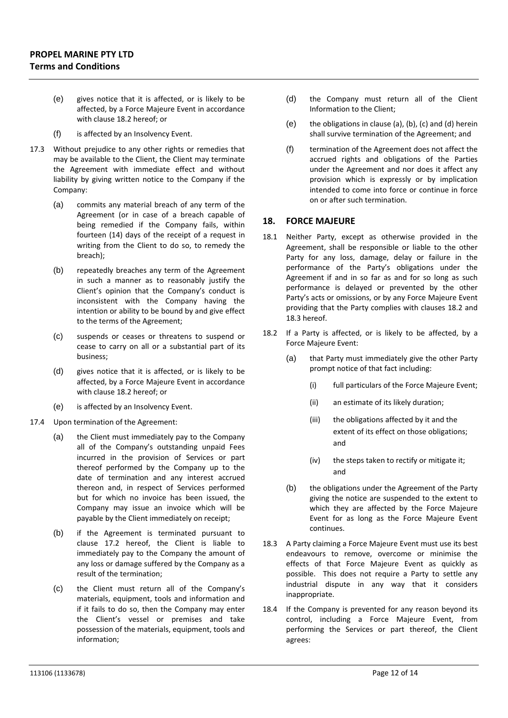- (e) gives notice that it is affected, or is likely to be affected, by a Force Majeure Event in accordance with clause 18.2 hereof; or
- (f) is affected by an Insolvency Event.
- 17.3 Without prejudice to any other rights or remedies that may be available to the Client, the Client may terminate the Agreement with immediate effect and without liability by giving written notice to the Company if the Company:
	- (a) commits any material breach of any term of the Agreement (or in case of a breach capable of being remedied if the Company fails, within fourteen (14) days of the receipt of a request in writing from the Client to do so, to remedy the breach);
	- (b) repeatedly breaches any term of the Agreement in such a manner as to reasonably justify the Client's opinion that the Company's conduct is inconsistent with the Company having the intention or ability to be bound by and give effect to the terms of the Agreement;
	- (c) suspends or ceases or threatens to suspend or cease to carry on all or a substantial part of its business;
	- (d) gives notice that it is affected, or is likely to be affected, by a Force Majeure Event in accordance with clause 18.2 hereof; or
	- (e) is affected by an Insolvency Event.
- 17.4 Upon termination of the Agreement:
	- (a) the Client must immediately pay to the Company all of the Company's outstanding unpaid Fees incurred in the provision of Services or part thereof performed by the Company up to the date of termination and any interest accrued thereon and, in respect of Services performed but for which no invoice has been issued, the Company may issue an invoice which will be payable by the Client immediately on receipt;
	- (b) if the Agreement is terminated pursuant to clause 17.2 hereof, the Client is liable to immediately pay to the Company the amount of any loss or damage suffered by the Company as a result of the termination;
	- (c) the Client must return all of the Company's materials, equipment, tools and information and if it fails to do so, then the Company may enter the Client's vessel or premises and take possession of the materials, equipment, tools and information;
- (d) the Company must return all of the Client Information to the Client;
- $(e)$  the obligations in clause (a), (b), (c) and (d) herein shall survive termination of the Agreement; and
- (f) termination of the Agreement does not affect the accrued rights and obligations of the Parties under the Agreement and nor does it affect any provision which is expressly or by implication intended to come into force or continue in force on or after such termination.

# **18. FORCE MAJEURE**

- 18.1 Neither Party, except as otherwise provided in the Agreement, shall be responsible or liable to the other Party for any loss, damage, delay or failure in the performance of the Party's obligations under the Agreement if and in so far as and for so long as such performance is delayed or prevented by the other Party's acts or omissions, or by any Force Majeure Event providing that the Party complies with clauses 18.2 and 18.3 hereof.
- 18.2 If a Party is affected, or is likely to be affected, by a Force Majeure Event:
	- (a) that Party must immediately give the other Party prompt notice of that fact including:
		- (i) full particulars of the Force Majeure Event;
		- (ii) an estimate of its likely duration;
		- (iii) the obligations affected by it and the extent of its effect on those obligations; and
		- (iv) the steps taken to rectify or mitigate it; and
	- (b) the obligations under the Agreement of the Party giving the notice are suspended to the extent to which they are affected by the Force Majeure Event for as long as the Force Majeure Event continues.
- 18.3 A Party claiming a Force Majeure Event must use its best endeavours to remove, overcome or minimise the effects of that Force Majeure Event as quickly as possible. This does not require a Party to settle any industrial dispute in any way that it considers inappropriate.
- 18.4 If the Company is prevented for any reason beyond its control, including a Force Majeure Event, from performing the Services or part thereof, the Client agrees: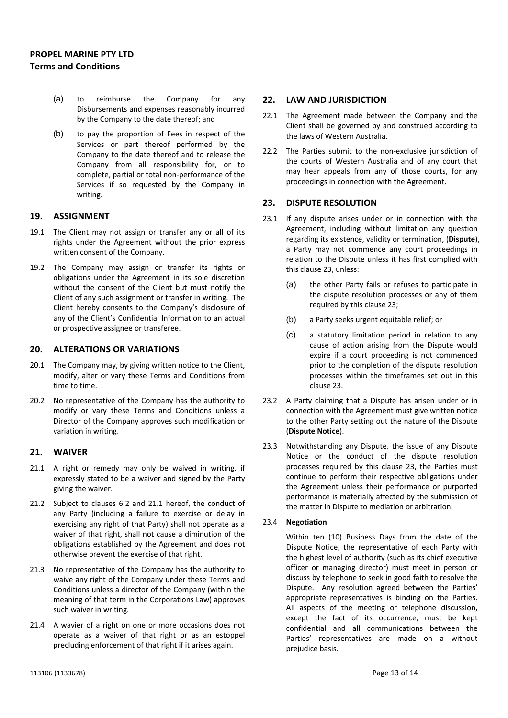- (a) to reimburse the Company for any Disbursements and expenses reasonably incurred by the Company to the date thereof; and
- (b) to pay the proportion of Fees in respect of the Services or part thereof performed by the Company to the date thereof and to release the Company from all responsibility for, or to complete, partial or total non‐performance of the Services if so requested by the Company in writing.

# **19. ASSIGNMENT**

- 19.1 The Client may not assign or transfer any or all of its rights under the Agreement without the prior express written consent of the Company.
- 19.2 The Company may assign or transfer its rights or obligations under the Agreement in its sole discretion without the consent of the Client but must notify the Client of any such assignment or transfer in writing. The Client hereby consents to the Company's disclosure of any of the Client's Confidential Information to an actual or prospective assignee or transferee.

#### **20. ALTERATIONS OR VARIATIONS**

- 20.1 The Company may, by giving written notice to the Client, modify, alter or vary these Terms and Conditions from time to time.
- 20.2 No representative of the Company has the authority to modify or vary these Terms and Conditions unless a Director of the Company approves such modification or variation in writing.

#### **21. WAIVER**

- 21.1 A right or remedy may only be waived in writing, if expressly stated to be a waiver and signed by the Party giving the waiver.
- 21.2 Subject to clauses 6.2 and 21.1 hereof, the conduct of any Party (including a failure to exercise or delay in exercising any right of that Party) shall not operate as a waiver of that right, shall not cause a diminution of the obligations established by the Agreement and does not otherwise prevent the exercise of that right.
- 21.3 No representative of the Company has the authority to waive any right of the Company under these Terms and Conditions unless a director of the Company (within the meaning of that term in the Corporations Law) approves such waiver in writing.
- 21.4 A wavier of a right on one or more occasions does not operate as a waiver of that right or as an estoppel precluding enforcement of that right if it arises again.

#### **22. LAW AND JURISDICTION**

- 22.1 The Agreement made between the Company and the Client shall be governed by and construed according to the laws of Western Australia.
- 22.2 The Parties submit to the non-exclusive jurisdiction of the courts of Western Australia and of any court that may hear appeals from any of those courts, for any proceedings in connection with the Agreement.

# **23. DISPUTE RESOLUTION**

- 23.1 If any dispute arises under or in connection with the Agreement, including without limitation any question regarding its existence, validity or termination, (**Dispute**), a Party may not commence any court proceedings in relation to the Dispute unless it has first complied with this clause 23, unless:
	- (a) the other Party fails or refuses to participate in the dispute resolution processes or any of them required by this clause 23;
	- (b) a Party seeks urgent equitable relief; or
	- (c) a statutory limitation period in relation to any cause of action arising from the Dispute would expire if a court proceeding is not commenced prior to the completion of the dispute resolution processes within the timeframes set out in this clause 23.
- 23.2 A Party claiming that a Dispute has arisen under or in connection with the Agreement must give written notice to the other Party setting out the nature of the Dispute (**Dispute Notice**).
- 23.3 Notwithstanding any Dispute, the issue of any Dispute Notice or the conduct of the dispute resolution processes required by this clause 23, the Parties must continue to perform their respective obligations under the Agreement unless their performance or purported performance is materially affected by the submission of the matter in Dispute to mediation or arbitration.

#### 23.4 **Negotiation**

Within ten (10) Business Days from the date of the Dispute Notice, the representative of each Party with the highest level of authority (such as its chief executive officer or managing director) must meet in person or discuss by telephone to seek in good faith to resolve the Dispute. Any resolution agreed between the Parties' appropriate representatives is binding on the Parties. All aspects of the meeting or telephone discussion, except the fact of its occurrence, must be kept confidential and all communications between the Parties' representatives are made on a without prejudice basis.